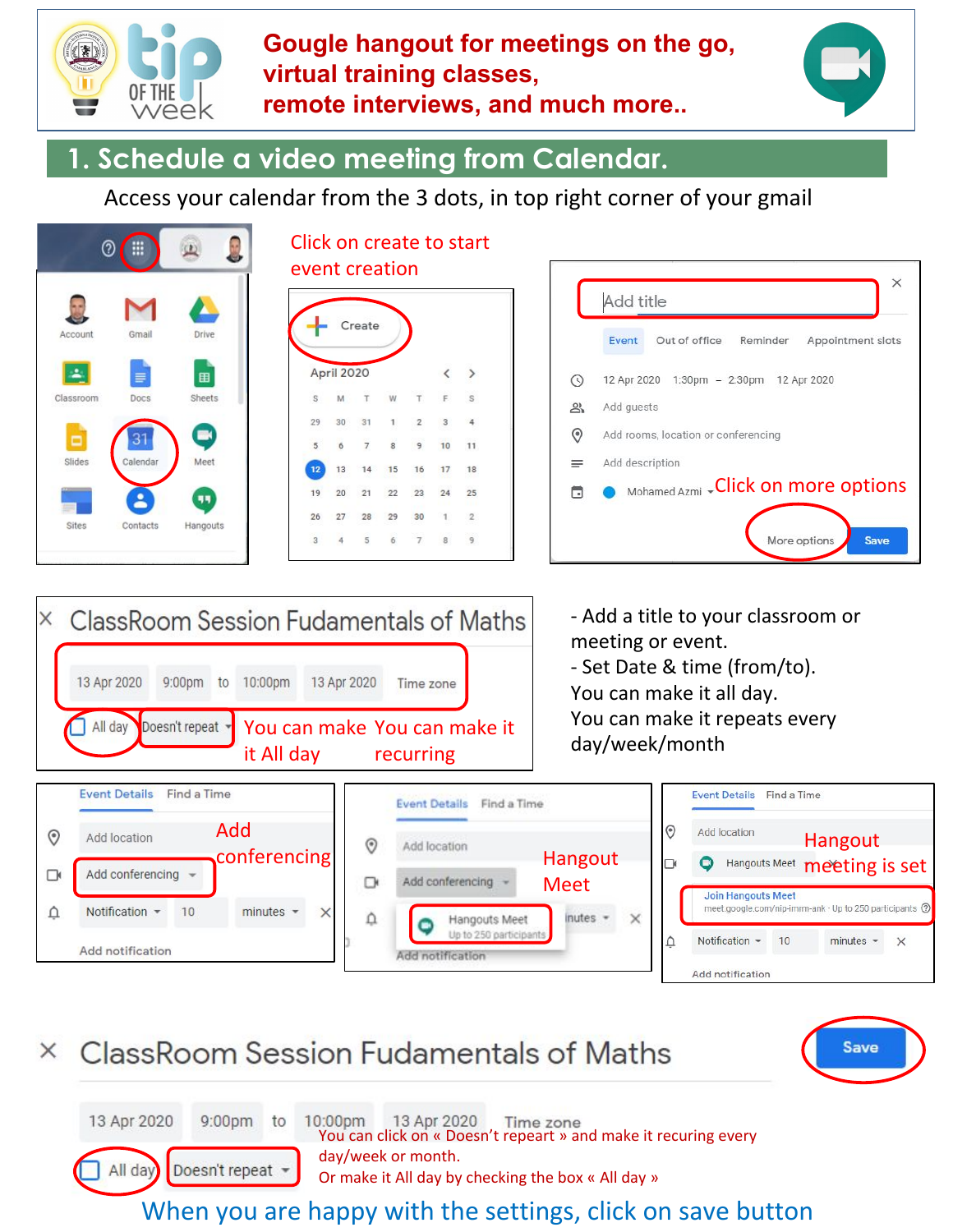

#### **Gougle hangout for meetings on the go, virtual training classes, remote interviews, and much more..**



## **1. Schedule a video meeting from Calendar.**

Access your calendar from the 3 dots, in top right corner of your gmail



|    |                 | Create         |                |                |    |              |
|----|-----------------|----------------|----------------|----------------|----|--------------|
|    |                 |                |                |                |    |              |
|    | April 2020      |                |                |                |    |              |
| s  | M               | T              | W              | T.             | F. | S.           |
| 29 | 30 <sup>°</sup> | 31             | $\mathbf{1}$   | $\overline{2}$ | 3  |              |
| 5  | 6               | $\overline{7}$ | $\overline{8}$ | 9              | 10 | 11           |
| 12 | 13              | 14             | 15             | 16             | 17 | 18           |
| 19 | 20              | 21             | 22             | 23             | 24 | 25           |
| 26 | 27              | 28             | 29             | 30             |    | $\mathbf{2}$ |
| 3  |                 | 5              | 6.             | 7.             | 8  | 9            |





#### ClassRoom Session Fudamentals of Maths  $\times$



13 Apr 2020 9:00pm to 10:00pm 13 Apr 2020 You can click on « Doesn't repeart » and make it recuring every day/week or month. All day Doesn't repeat -Or make it All day by checking the box « All day »

When you are happy with the settings, click on save button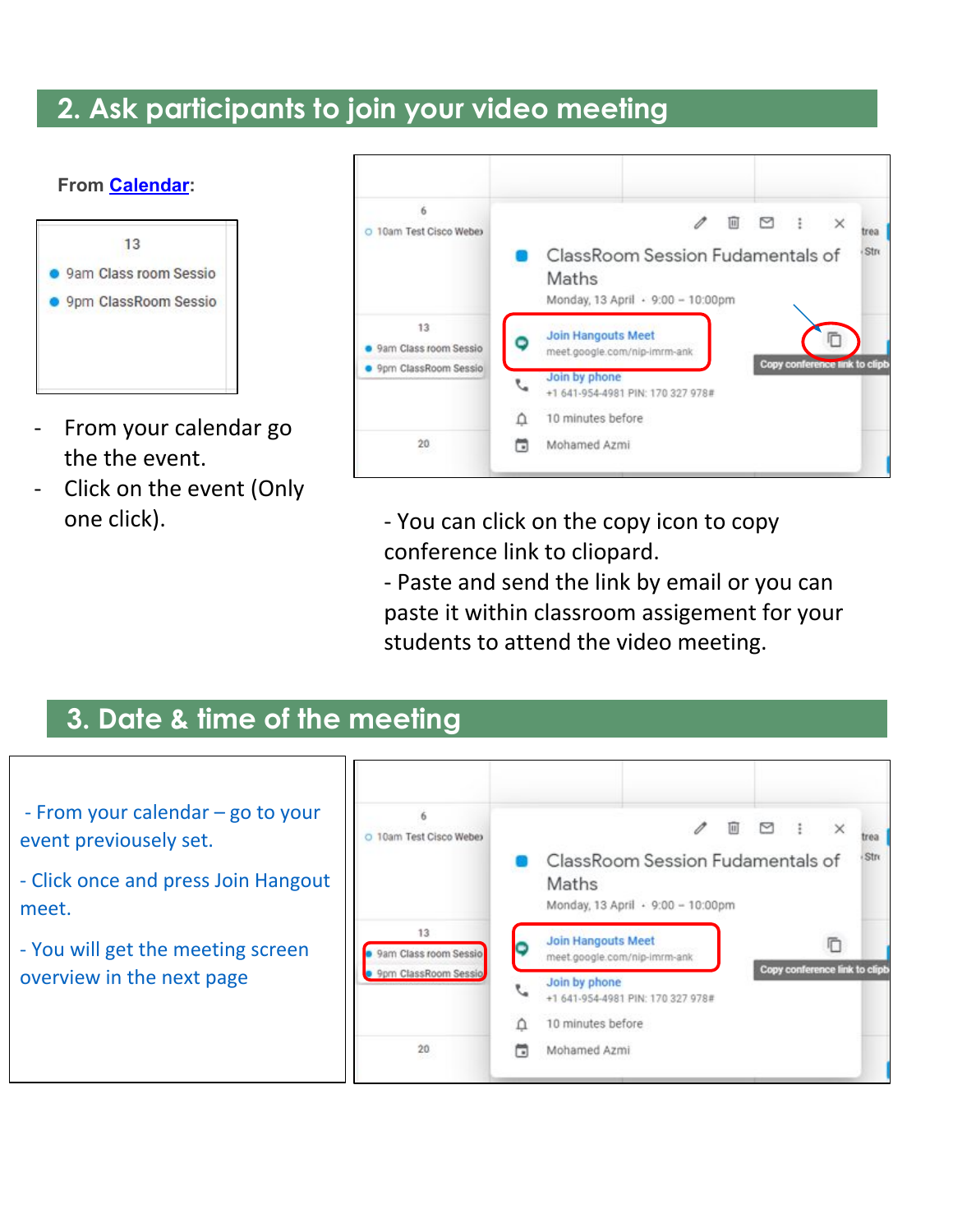# **2. Ask participants to join your video meeting**



- From your calendar go the the event.
- Click on the event (Only one click).

| 6                           | $\pm$<br>⊠<br>$\times$<br>$[11]$                                                               |  |  |  |  |  |  |
|-----------------------------|------------------------------------------------------------------------------------------------|--|--|--|--|--|--|
| 10am Test Cisco Webex<br>Ō  | trea<br>Stro<br>ClassRoom Session Fudamentals of<br>Maths<br>Monday, 13 April + 9:00 - 10:00pm |  |  |  |  |  |  |
| 13<br>9am Class room Sessio | <b>Join Hangouts Meet</b><br>meet.google.com/nip-imrm-ank<br>Copy conference link to clipb     |  |  |  |  |  |  |
| 9pm ClassRoom Sessio        | Join by phone<br>+1 641-954-4981 PIN: 170 327 978#                                             |  |  |  |  |  |  |
|                             | 10 minutes before<br>Ω                                                                         |  |  |  |  |  |  |
| 20                          | Mohamed Azmi<br>□                                                                              |  |  |  |  |  |  |

- You can click on the copy icon to copy conference link to cliopard.

- Paste and send the link by email or you can paste it within classroom assigement for your students to attend the video meeting.

## **3. Date & time of the meeting**

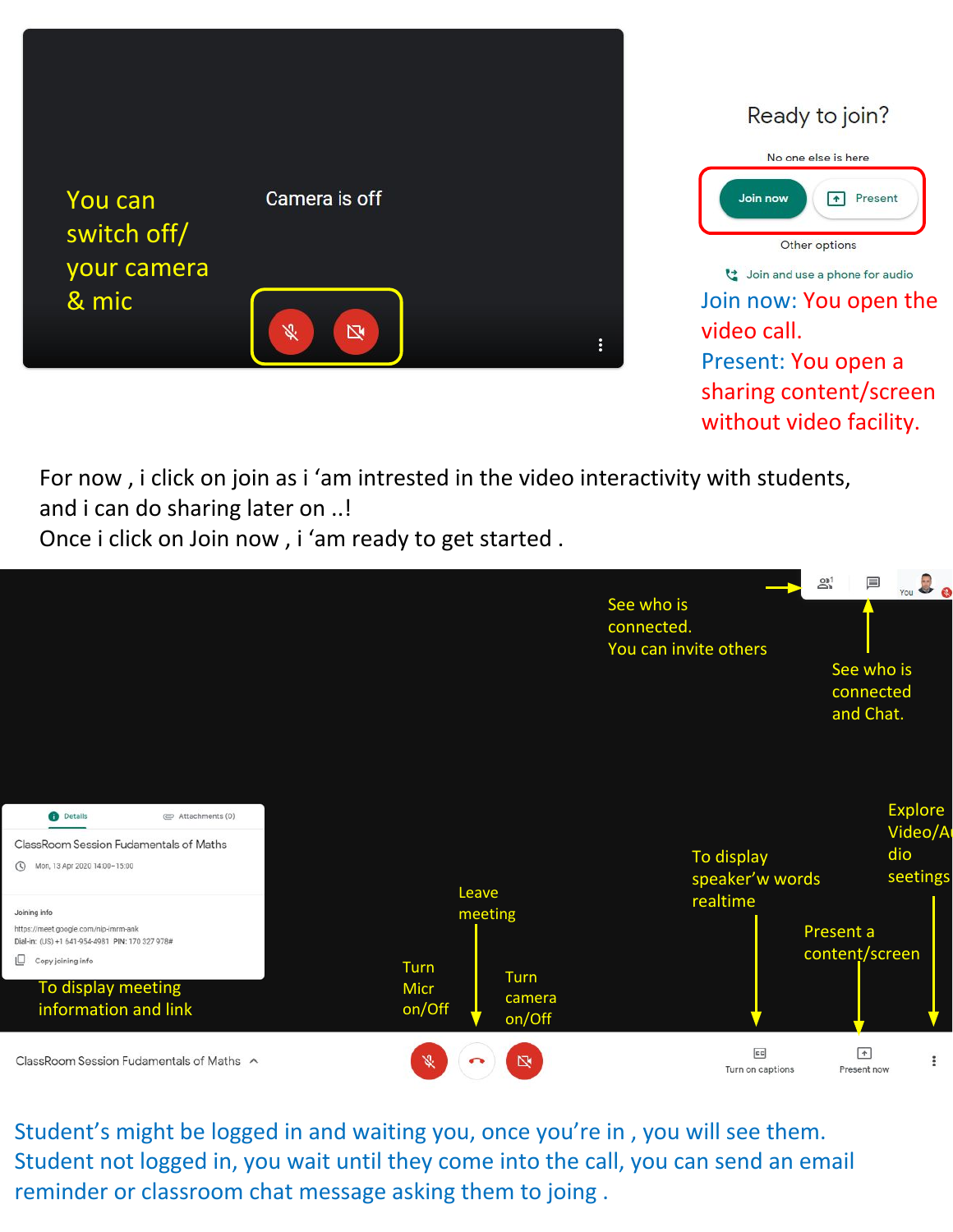

No one else is here Join now T+ Present Other options doin and use a phone for audio

Ready to join?

video call. Present: You open a sharing content/screen without video facility.

For now , i click on join as i 'am intrested in the video interactivity with students,

and i can do sharing later on ..!

Once i click on Join now , i 'am ready to get started .



Student's might be logged in and waiting you, once you're in , you will see them. Student not logged in, you wait until they come into the call, you can send an email reminder or classroom chat message asking them to joing .